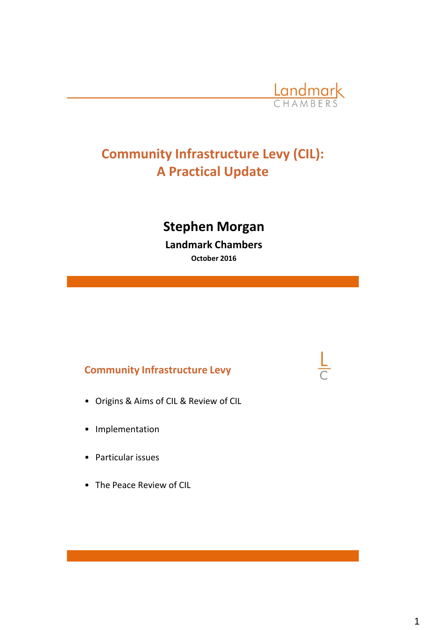

# **Community Infrastructure Levy (CIL): A Practical Update**

# **Stephen Morgan**

**Landmark Chambers October 2016**

# **Community Infrastructure Levy**

- Origins & Aims of CIL & Review of CIL
- Implementation
- Particular issues
- The Peace Review of CIL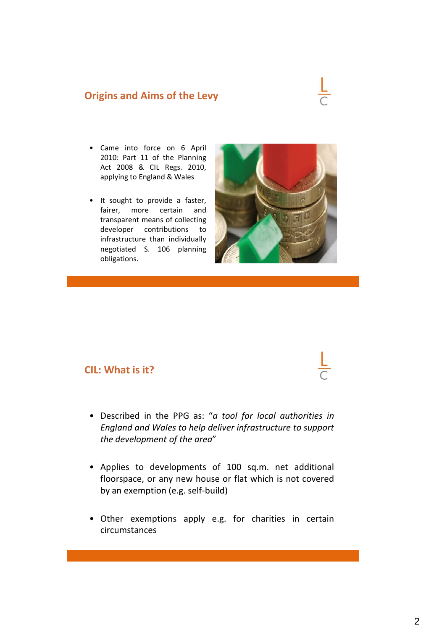#### **Origins and Aims of the Levy**

- Came into force on 6 April 2010: Part 11 of the Planning Act 2008 & CIL Regs. 2010, applying to England & Wales
- It sought to provide a faster, fairer, more certain and transparent means of collecting developer contributions to infrastructure than individually negotiated S. 106 planning obligations.



#### **CIL: What is it?**

- Described in the PPG as: "*a tool for local authorities in England and Wales to help deliver infrastructure to support the development of the area*"
- Applies to developments of 100 sq.m. net additional floorspace, or any new house or flat which is not covered by an exemption (e.g. self-build)
- Other exemptions apply e.g. for charities in certain circumstances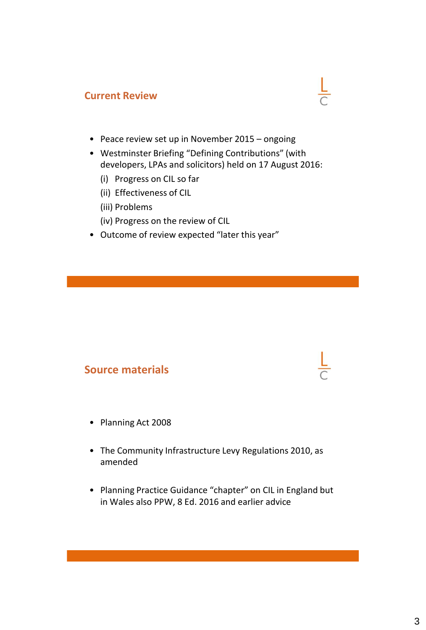#### **Current Review**

- Peace review set up in November 2015 ongoing
- Westminster Briefing "Defining Contributions" (with developers, LPAs and solicitors) held on 17 August 2016:

 $\frac{L}{C}$ 

- (i) Progress on CIL so far
- (ii) Effectiveness of CIL
- (iii) Problems
- (iv) Progress on the review of CIL
- Outcome of review expected "later this year"

#### **Source materials**

- Planning Act 2008
- The Community Infrastructure Levy Regulations 2010, as amended
- Planning Practice Guidance "chapter" on CIL in England but in Wales also PPW, 8 Ed. 2016 and earlier advice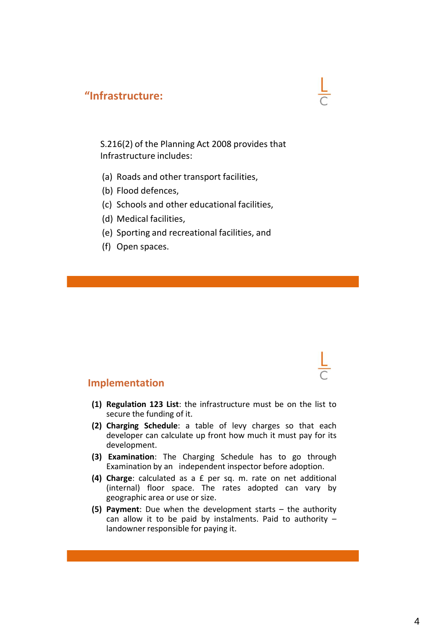## **"Infrastructure:**

S.216(2) of the Planning Act 2008 provides that Infrastructure includes:

- (a) Roads and other transport facilities,
- (b) Flood defences,
- (c) Schools and other educational facilities,
- (d) Medical facilities,
- (e) Sporting and recreational facilities, and
- (f) Open spaces.

#### **Implementation**

- **(1) Regulation 123 List**: the infrastructure must be on the list to secure the funding of it.
- **(2) Charging Schedule**: a table of levy charges so that each developer can calculate up front how much it must pay for its development.
- **(3) Examination**: The Charging Schedule has to go through Examination by an independent inspector before adoption.
- **(4) Charge**: calculated as a £ per sq. m. rate on net additional (internal) floor space. The rates adopted can vary by geographic area or use or size.
- **(5) Payment**: Due when the development starts the authority can allow it to be paid by instalments. Paid to authority  $$ landowner responsible for paying it.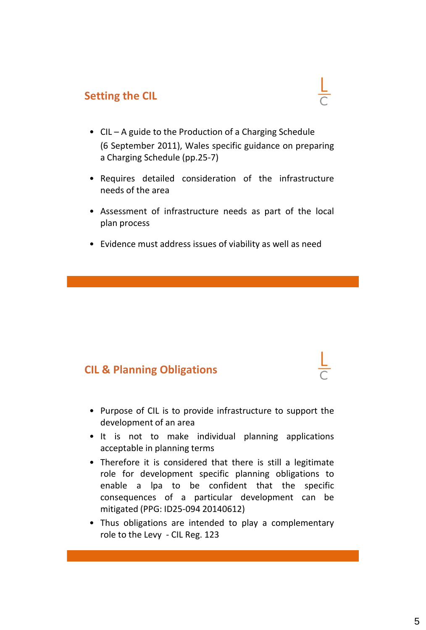# **Setting the CIL**

- CIL A guide to the Production of a Charging Schedule (6 September 2011), Wales specific guidance on preparing a Charging Schedule (pp.25-7)
- Requires detailed consideration of the infrastructure needs of the area
- Assessment of infrastructure needs as part of the local plan process
- Evidence must address issues of viability as well as need

# **CIL & Planning Obligations**

- Purpose of CIL is to provide infrastructure to support the development of an area
- It is not to make individual planning applications acceptable in planning terms
- Therefore it is considered that there is still a legitimate role for development specific planning obligations to enable a lpa to be confident that the specific consequences of a particular development can be mitigated (PPG: ID25-094 20140612)
- Thus obligations are intended to play a complementary role to the Levy - CIL Reg. 123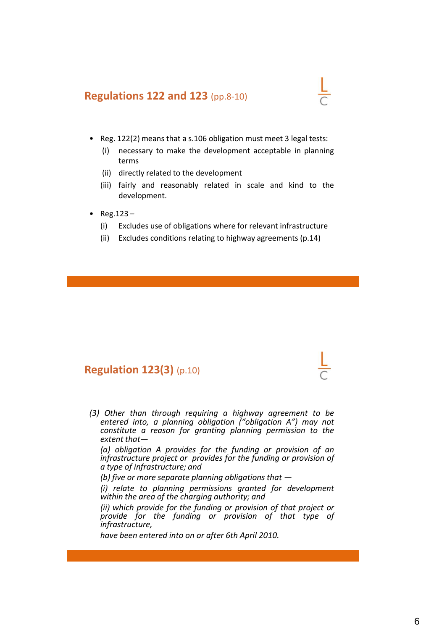#### **Regulations 122 and 123** (pp.8-10)

- Reg. 122(2) means that a s.106 obligation must meet 3 legal tests:
	- (i) necessary to make the development acceptable in planning terms
	- (ii) directly related to the development
	- (iii) fairly and reasonably related in scale and kind to the development.
- Reg.123
	- (i) Excludes use of obligations where for relevant infrastructure
	- (ii) Excludes conditions relating to highway agreements (p.14)

#### **Regulation 123(3)** (p.10)

*(3) Other than through requiring a highway agreement to be entered into, a planning obligation ("obligation A") may not constitute a reason for granting planning permission to the extent that—*

*(a) obligation A provides for the funding or provision of an infrastructure project or provides for the funding or provision of a type of infrastructure; and*

*(b) five or more separate planning obligations that —*

*(i) relate to planning permissions granted for development within the area of the charging authority; and*

*(ii) which provide for the funding or provision of that project or provide for the funding or provision of that type of infrastructure,*

*have been entered into on or after 6th April 2010.*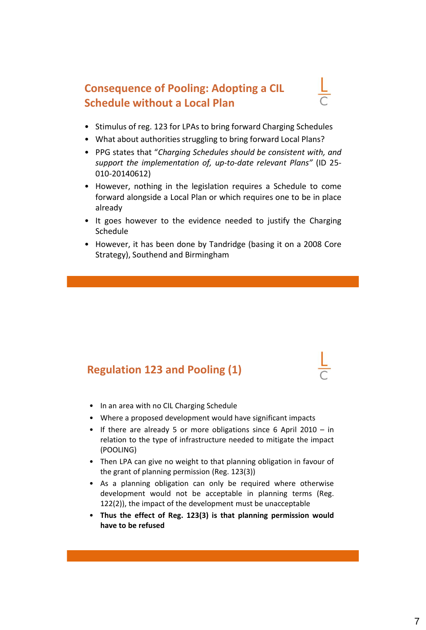# **Consequence of Pooling: Adopting a CIL Schedule without a Local Plan**

- Stimulus of reg. 123 for LPAs to bring forward Charging Schedules
- What about authorities struggling to bring forward Local Plans?
- PPG states that "*Charging Schedules should be consistent with, and support the implementation of, up-to-date relevant Plans"* (ID 25- 010-20140612)
- However, nothing in the legislation requires a Schedule to come forward alongside a Local Plan or which requires one to be in place already
- It goes however to the evidence needed to justify the Charging Schedule
- However, it has been done by Tandridge (basing it on a 2008 Core Strategy), Southend and Birmingham

# **Regulation 123 and Pooling (1)**

- In an area with no CIL Charging Schedule
- Where a proposed development would have significant impacts
- If there are already 5 or more obligations since 6 April 2010 in relation to the type of infrastructure needed to mitigate the impact (POOLING)
- Then LPA can give no weight to that planning obligation in favour of the grant of planning permission (Reg. 123(3))
- As a planning obligation can only be required where otherwise development would not be acceptable in planning terms (Reg. 122(2)), the impact of the development must be unacceptable
- **Thus the effect of Reg. 123(3) is that planning permission would have to be refused**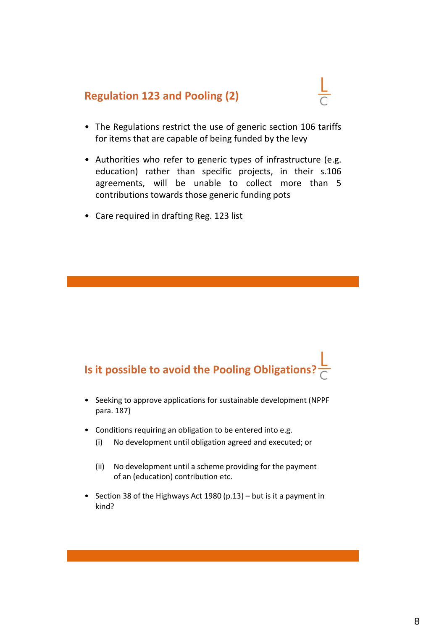# **Regulation 123 and Pooling (2)**

- 
- The Regulations restrict the use of generic section 106 tariffs for items that are capable of being funded by the levy
- Authorities who refer to generic types of infrastructure (e.g. education) rather than specific projects, in their s.106 agreements, will be unable to collect more than 5 contributions towards those generic funding pots
- Care required in drafting Reg. 123 list

# **Is it possible to avoid the Pooling Obligations?**

- Seeking to approve applications for sustainable development (NPPF para. 187)
- Conditions requiring an obligation to be entered into e.g.
	- (i) No development until obligation agreed and executed; or
	- (ii) No development until a scheme providing for the payment of an (education) contribution etc.
- Section 38 of the Highways Act 1980 (p.13) but is it a payment in kind?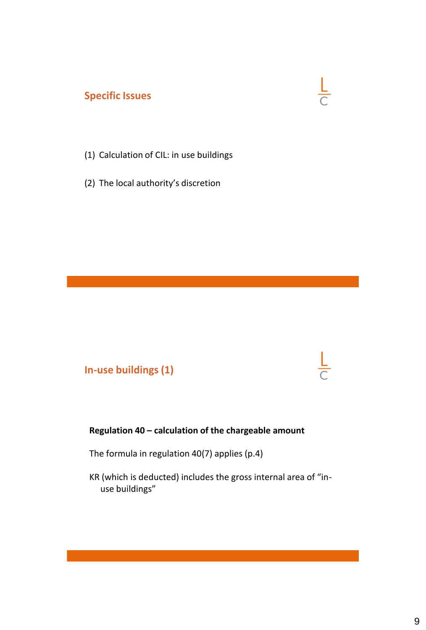# **Specific Issues**



- (1) Calculation of CIL: in use buildings
- (2) The local authority's discretion

**In-use buildings (1)**

#### **Regulation 40 – calculation of the chargeable amount**

The formula in regulation 40(7) applies (p.4)

KR (which is deducted) includes the gross internal area of "inuse buildings"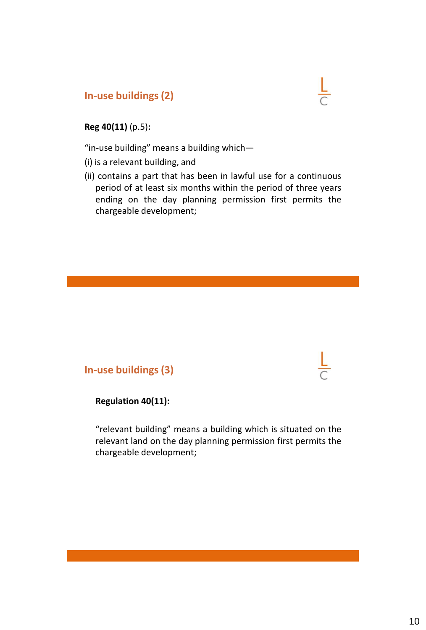## **In-use buildings (2)**



#### **Reg 40(11)** (p.5)**:**

"in-use building" means a building which—

(i) is a relevant building, and

(ii) contains a part that has been in lawful use for a continuous period of at least six months within the period of three years ending on the day planning permission first permits the chargeable development;

#### **In-use buildings (3)**

**Regulation 40(11):**

"relevant building" means a building which is situated on the relevant land on the day planning permission first permits the chargeable development;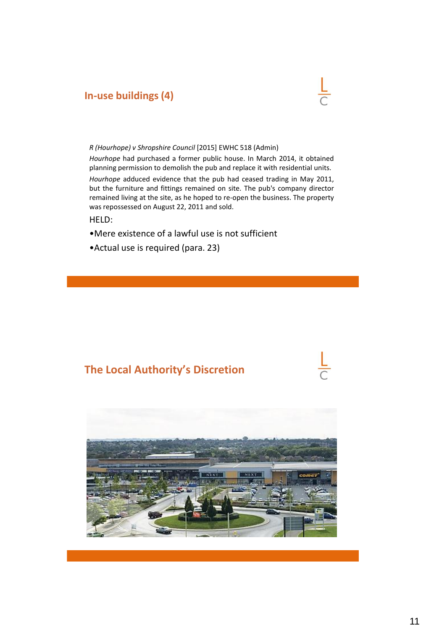### **In-use buildings (4)**



#### *R (Hourhope) v Shropshire Council* [2015] EWHC 518 (Admin)

*Hourhope* had purchased a former public house. In March 2014, it obtained planning permission to demolish the pub and replace it with residential units.

*Hourhope* adduced evidence that the pub had ceased trading in May 2011, but the furniture and fittings remained on site. The pub's company director remained living at the site, as he hoped to re-open the business. The property was repossessed on August 22, 2011 and sold.

HELD:

- •Mere existence of a lawful use is not sufficient
- •Actual use is required (para. 23)

# **The Local Authority's Discretion**

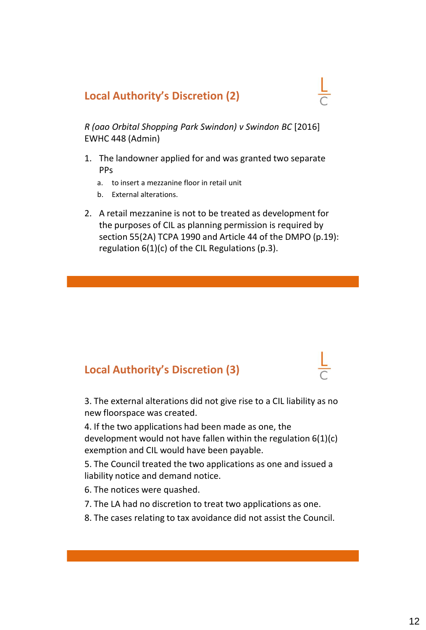# **Local Authority's Discretion (2)**

*R (oao Orbital Shopping Park Swindon) v Swindon BC* [2016] EWHC 448 (Admin)

- 1. The landowner applied for and was granted two separate PPs
	- a. to insert a mezzanine floor in retail unit
	- b. External alterations.
- 2. A retail mezzanine is not to be treated as development for the purposes of CIL as planning permission is required by section 55(2A) TCPA 1990 and Article 44 of the DMPO (p.19): regulation 6(1)(c) of the CIL Regulations (p.3).

# **Local Authority's Discretion (3)**

3. The external alterations did not give rise to a CIL liability as no new floorspace was created.

4. If the two applications had been made as one, the development would not have fallen within the regulation 6(1)(c) exemption and CIL would have been payable.

5. The Council treated the two applications as one and issued a liability notice and demand notice.

- 6. The notices were quashed.
- 7. The LA had no discretion to treat two applications as one.
- 8. The cases relating to tax avoidance did not assist the Council.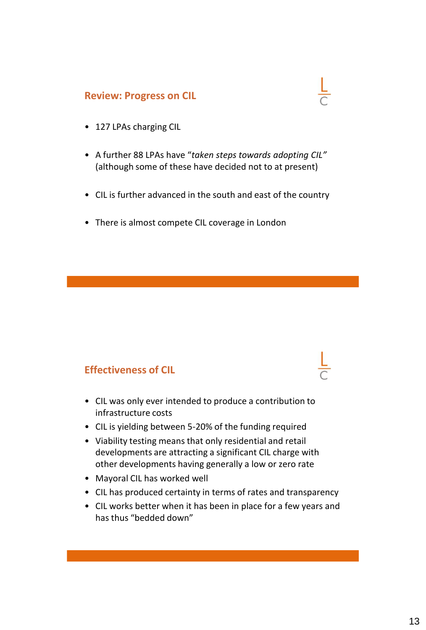#### **Review: Progress on CIL**

- 127 LPAs charging CIL
- A further 88 LPAs have "*taken steps towards adopting CIL"*  (although some of these have decided not to at present)
- CIL is further advanced in the south and east of the country
- There is almost compete CIL coverage in London

#### **Effectiveness of CIL**

- CIL was only ever intended to produce a contribution to infrastructure costs
- CIL is yielding between 5-20% of the funding required
- Viability testing means that only residential and retail developments are attracting a significant CIL charge with other developments having generally a low or zero rate
- Mayoral CIL has worked well
- CIL has produced certainty in terms of rates and transparency
- CIL works better when it has been in place for a few years and has thus "bedded down"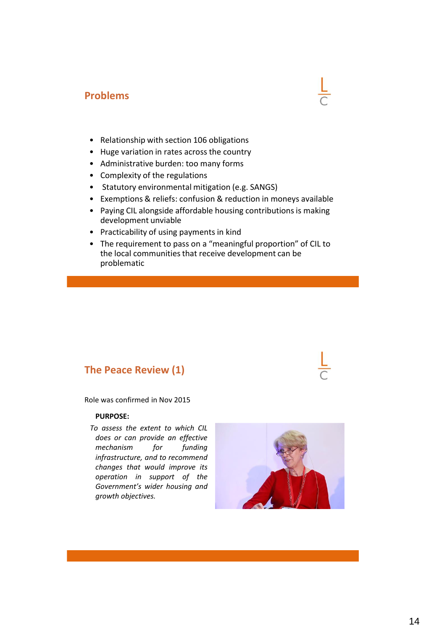### **Problems**

- Relationship with section 106 obligations
- Huge variation in rates across the country
- Administrative burden: too many forms
- Complexity of the regulations
- Statutory environmental mitigation (e.g. SANGS)
- Exemptions & reliefs: confusion & reduction in moneys available
- Paying CIL alongside affordable housing contributions is making development unviable
- Practicability of using payments in kind
- The requirement to pass on a "meaningful proportion" of CIL to the local communities that receive development can be problematic

#### **The Peace Review (1)**

Role was confirmed in Nov 2015

#### **PURPOSE:**

 *To assess the extent to which CIL does or can provide an effective mechanism for funding infrastructure, and to recommend changes that would improve its operation in support of the Government's wider housing and growth objectives.*